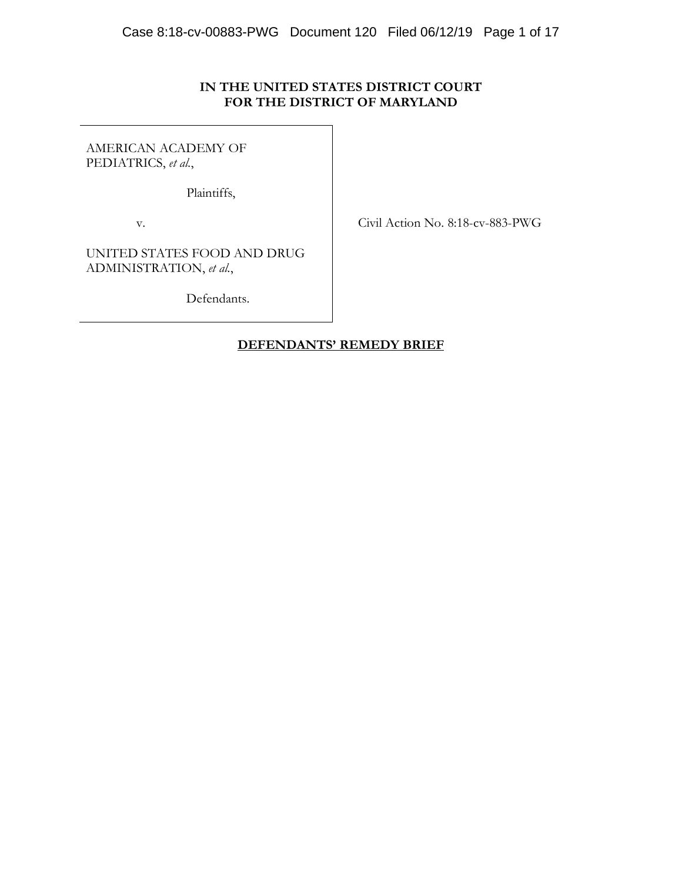# **IN THE UNITED STATES DISTRICT COURT FOR THE DISTRICT OF MARYLAND**

AMERICAN ACADEMY OF PEDIATRICS, *et al.*,

Plaintiffs,

v. Civil Action No. 8:18-cv-883-PWG

UNITED STATES FOOD AND DRUG ADMINISTRATION, *et al.*,

Defendants.

# **DEFENDANTS' REMEDY BRIEF**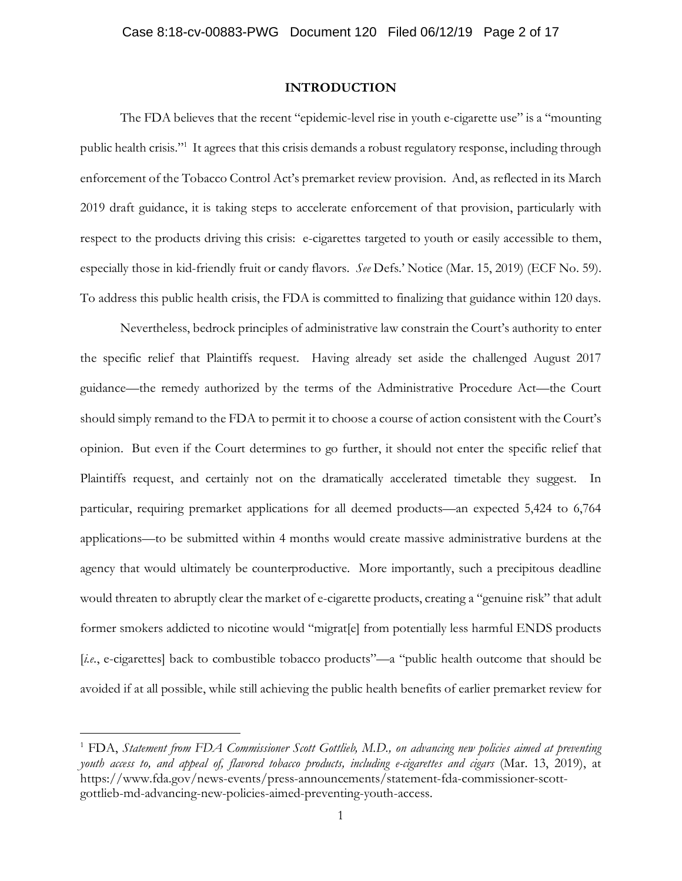#### **INTRODUCTION**

The FDA believes that the recent "epidemic-level rise in youth e-cigarette use" is a "mounting public health crisis."<sup>1</sup> It agrees that this crisis demands a robust regulatory response, including through enforcement of the Tobacco Control Act's premarket review provision. And, as reflected in its March 2019 draft guidance, it is taking steps to accelerate enforcement of that provision, particularly with respect to the products driving this crisis: e-cigarettes targeted to youth or easily accessible to them, especially those in kid-friendly fruit or candy flavors. *See* Defs.' Notice (Mar. 15, 2019) (ECF No. 59). To address this public health crisis, the FDA is committed to finalizing that guidance within 120 days.

Nevertheless, bedrock principles of administrative law constrain the Court's authority to enter the specific relief that Plaintiffs request. Having already set aside the challenged August 2017 guidance—the remedy authorized by the terms of the Administrative Procedure Act—the Court should simply remand to the FDA to permit it to choose a course of action consistent with the Court's opinion. But even if the Court determines to go further, it should not enter the specific relief that Plaintiffs request, and certainly not on the dramatically accelerated timetable they suggest. In particular, requiring premarket applications for all deemed products—an expected 5,424 to 6,764 applications—to be submitted within 4 months would create massive administrative burdens at the agency that would ultimately be counterproductive. More importantly, such a precipitous deadline would threaten to abruptly clear the market of e-cigarette products, creating a "genuine risk" that adult former smokers addicted to nicotine would "migrat[e] from potentially less harmful ENDS products [*i.e.*, e-cigarettes] back to combustible tobacco products"—a "public health outcome that should be avoided if at all possible, while still achieving the public health benefits of earlier premarket review for

<sup>1</sup> FDA, *Statement from FDA Commissioner Scott Gottlieb, M.D., on advancing new policies aimed at preventing youth access to, and appeal of, flavored tobacco products, including e-cigarettes and cigars* (Mar. 13, 2019), at https://www.fda.gov/news-events/press-announcements/statement-fda-commissioner-scottgottlieb-md-advancing-new-policies-aimed-preventing-youth-access.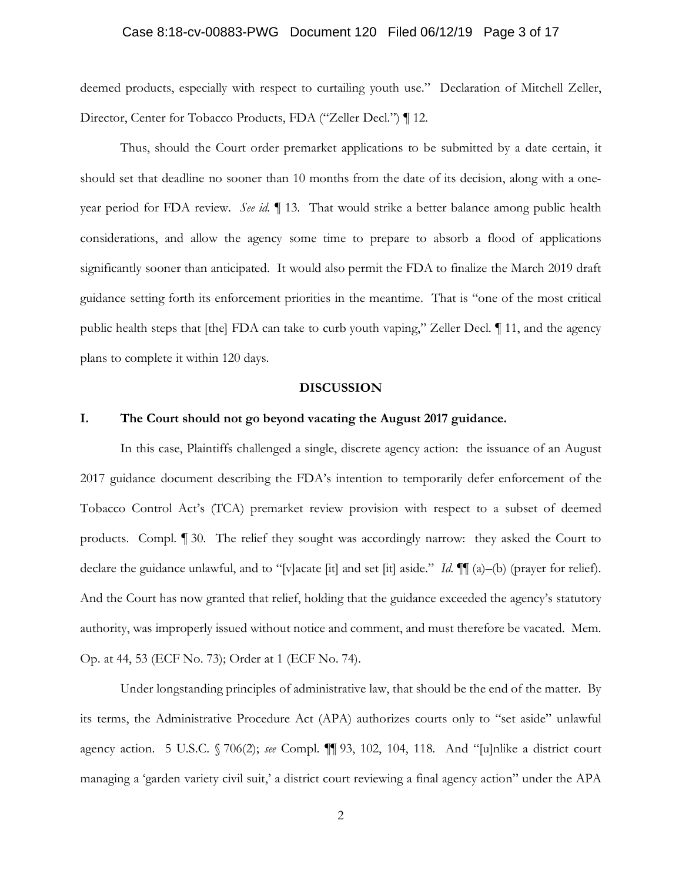#### Case 8:18-cv-00883-PWG Document 120 Filed 06/12/19 Page 3 of 17

deemed products, especially with respect to curtailing youth use." Declaration of Mitchell Zeller, Director, Center for Tobacco Products, FDA ("Zeller Decl.") ¶ 12.

Thus, should the Court order premarket applications to be submitted by a date certain, it should set that deadline no sooner than 10 months from the date of its decision, along with a oneyear period for FDA review. *See id.* ¶ 13. That would strike a better balance among public health considerations, and allow the agency some time to prepare to absorb a flood of applications significantly sooner than anticipated. It would also permit the FDA to finalize the March 2019 draft guidance setting forth its enforcement priorities in the meantime. That is "one of the most critical public health steps that [the] FDA can take to curb youth vaping," Zeller Decl. ¶ 11, and the agency plans to complete it within 120 days.

#### **DISCUSSION**

#### **I. The Court should not go beyond vacating the August 2017 guidance.**

In this case, Plaintiffs challenged a single, discrete agency action: the issuance of an August 2017 guidance document describing the FDA's intention to temporarily defer enforcement of the Tobacco Control Act's (TCA) premarket review provision with respect to a subset of deemed products. Compl. ¶ 30. The relief they sought was accordingly narrow: they asked the Court to declare the guidance unlawful, and to "[v]acate [it] and set [it] aside." *Id*. ¶¶ (a)–(b) (prayer for relief). And the Court has now granted that relief, holding that the guidance exceeded the agency's statutory authority, was improperly issued without notice and comment, and must therefore be vacated. Mem. Op. at 44, 53 (ECF No. 73); Order at 1 (ECF No. 74).

Under longstanding principles of administrative law, that should be the end of the matter. By its terms, the Administrative Procedure Act (APA) authorizes courts only to "set aside" unlawful agency action. 5 U.S.C. § 706(2); *see* Compl. ¶¶ 93, 102, 104, 118. And "[u]nlike a district court managing a 'garden variety civil suit,' a district court reviewing a final agency action" under the APA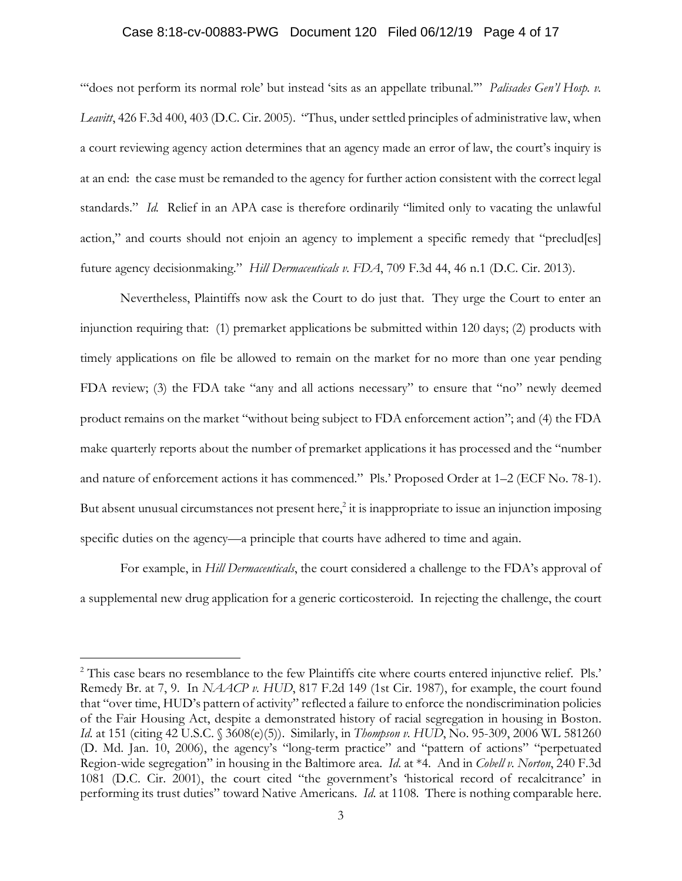### Case 8:18-cv-00883-PWG Document 120 Filed 06/12/19 Page 4 of 17

"does not perform its normal role' but instead 'sits as an appellate tribunal."" *Palisades Gen'l Hosp. v. Leavitt*, 426 F.3d 400, 403 (D.C. Cir. 2005). "Thus, under settled principles of administrative law, when a court reviewing agency action determines that an agency made an error of law, the court's inquiry is at an end: the case must be remanded to the agency for further action consistent with the correct legal standards." *Id.* Relief in an APA case is therefore ordinarily "limited only to vacating the unlawful action," and courts should not enjoin an agency to implement a specific remedy that "preclud[es] future agency decisionmaking." *Hill Dermaceuticals v. FDA*, 709 F.3d 44, 46 n.1 (D.C. Cir. 2013).

Nevertheless, Plaintiffs now ask the Court to do just that. They urge the Court to enter an injunction requiring that: (1) premarket applications be submitted within 120 days; (2) products with timely applications on file be allowed to remain on the market for no more than one year pending FDA review; (3) the FDA take "any and all actions necessary" to ensure that "no" newly deemed product remains on the market "without being subject to FDA enforcement action"; and (4) the FDA make quarterly reports about the number of premarket applications it has processed and the "number and nature of enforcement actions it has commenced." Pls.' Proposed Order at 1–2 (ECF No. 78-1). But absent unusual circumstances not present here, $\frac{2}{3}$  it is inappropriate to issue an injunction imposing specific duties on the agency—a principle that courts have adhered to time and again.

For example, in *Hill Dermaceuticals*, the court considered a challenge to the FDA's approval of a supplemental new drug application for a generic corticosteroid. In rejecting the challenge, the court

<sup>&</sup>lt;sup>2</sup> This case bears no resemblance to the few Plaintiffs cite where courts entered injunctive relief. Pls.' Remedy Br. at 7, 9. In *NAACP v. HUD*, 817 F.2d 149 (1st Cir. 1987), for example, the court found that "over time, HUD's pattern of activity" reflected a failure to enforce the nondiscrimination policies of the Fair Housing Act, despite a demonstrated history of racial segregation in housing in Boston. *Id.* at 151 (citing 42 U.S.C. § 3608(e)(5)). Similarly, in *Thompson v. HUD*, No. 95-309, 2006 WL 581260 (D. Md. Jan. 10, 2006), the agency's "long-term practice" and "pattern of actions" "perpetuated Region-wide segregation" in housing in the Baltimore area. *Id*. at \*4. And in *Cobell v. Norton*, 240 F.3d 1081 (D.C. Cir. 2001), the court cited "the government's 'historical record of recalcitrance' in performing its trust duties" toward Native Americans. *Id*. at 1108. There is nothing comparable here.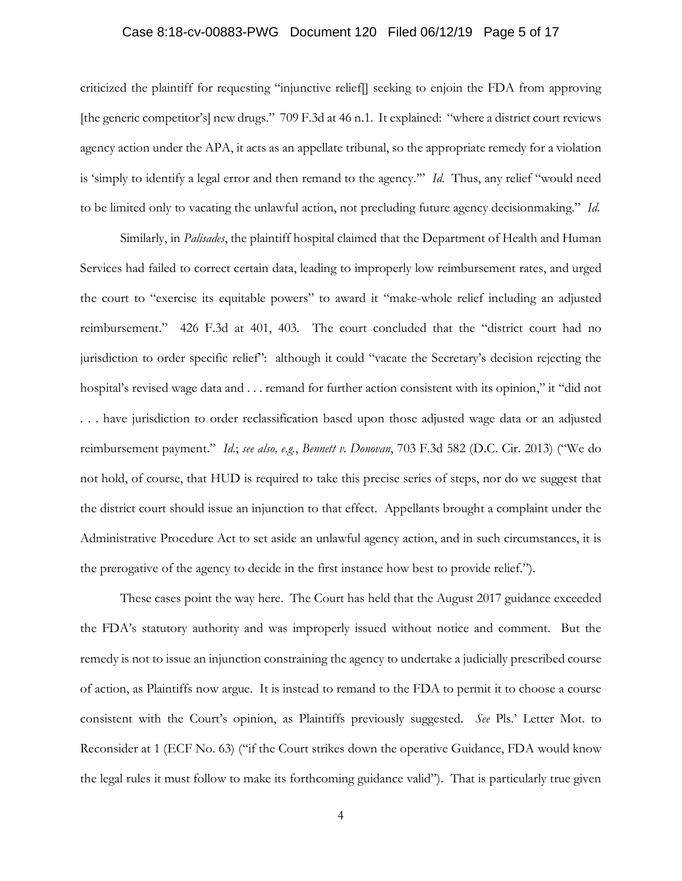### Case 8:18-cv-00883-PWG Document 120 Filed 06/12/19 Page 5 of 17

criticized the plaintiff for requesting "injunctive relief[] seeking to enjoin the FDA from approving [the generic competitor's] new drugs." 709 F.3d at 46 n.1. It explained: "where a district court reviews agency action under the APA, it acts as an appellate tribunal, so the appropriate remedy for a violation is 'simply to identify a legal error and then remand to the agency.'" *Id*. Thus, any relief "would need to be limited only to vacating the unlawful action, not precluding future agency decisionmaking." *Id*.

Similarly, in *Palisades*, the plaintiff hospital claimed that the Department of Health and Human Services had failed to correct certain data, leading to improperly low reimbursement rates, and urged the court to "exercise its equitable powers" to award it "make-whole relief including an adjusted reimbursement." 426 F.3d at 401, 403. The court concluded that the "district court had no jurisdiction to order specific relief": although it could "vacate the Secretary's decision rejecting the hospital's revised wage data and . . . remand for further action consistent with its opinion," it "did not . . . have jurisdiction to order reclassification based upon those adjusted wage data or an adjusted reimbursement payment." *Id*.; *see also, e.g.*, *Bennett v. Donovan*, 703 F.3d 582 (D.C. Cir. 2013) ("We do not hold, of course, that HUD is required to take this precise series of steps, nor do we suggest that the district court should issue an injunction to that effect. Appellants brought a complaint under the Administrative Procedure Act to set aside an unlawful agency action, and in such circumstances, it is the prerogative of the agency to decide in the first instance how best to provide relief.").

These cases point the way here. The Court has held that the August 2017 guidance exceeded the FDA's statutory authority and was improperly issued without notice and comment. But the remedy is not to issue an injunction constraining the agency to undertake a judicially prescribed course of action, as Plaintiffs now argue. It is instead to remand to the FDA to permit it to choose a course consistent with the Court's opinion, as Plaintiffs previously suggested. *See* Pls.' Letter Mot. to Reconsider at 1 (ECF No. 63) ("if the Court strikes down the operative Guidance, FDA would know the legal rules it must follow to make its forthcoming guidance valid"). That is particularly true given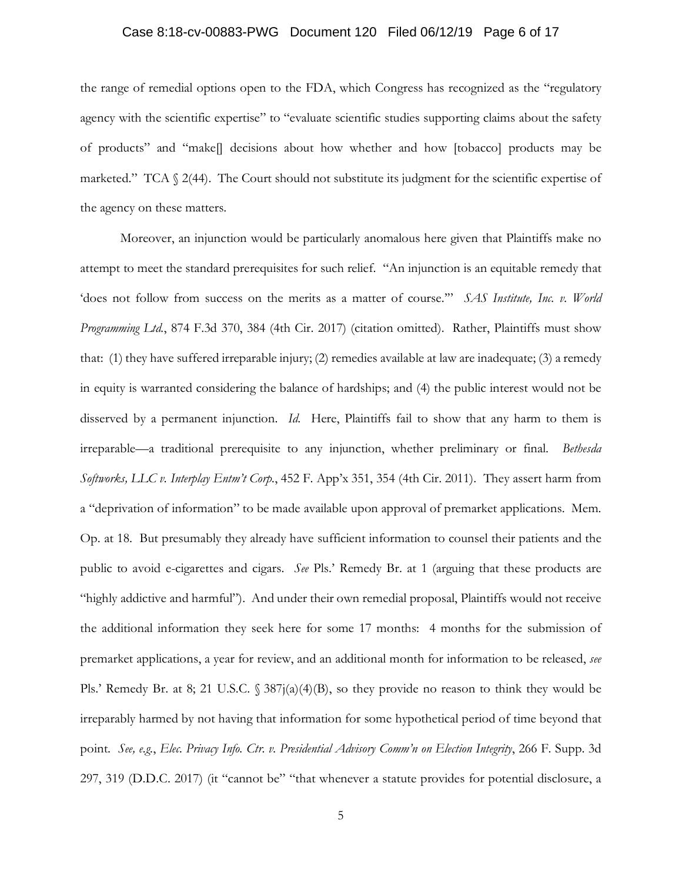### Case 8:18-cv-00883-PWG Document 120 Filed 06/12/19 Page 6 of 17

the range of remedial options open to the FDA, which Congress has recognized as the "regulatory agency with the scientific expertise" to "evaluate scientific studies supporting claims about the safety of products" and "make[] decisions about how whether and how [tobacco] products may be marketed." TCA § 2(44). The Court should not substitute its judgment for the scientific expertise of the agency on these matters.

Moreover, an injunction would be particularly anomalous here given that Plaintiffs make no attempt to meet the standard prerequisites for such relief. "An injunction is an equitable remedy that 'does not follow from success on the merits as a matter of course.'" *SAS Institute, Inc. v. World Programming Ltd.*, 874 F.3d 370, 384 (4th Cir. 2017) (citation omitted). Rather, Plaintiffs must show that: (1) they have suffered irreparable injury; (2) remedies available at law are inadequate; (3) a remedy in equity is warranted considering the balance of hardships; and (4) the public interest would not be disserved by a permanent injunction. *Id*. Here, Plaintiffs fail to show that any harm to them is irreparable—a traditional prerequisite to any injunction, whether preliminary or final. *Bethesda Softworks, LLC v. Interplay Entm't Corp.*, 452 F. App'x 351, 354 (4th Cir. 2011). They assert harm from a "deprivation of information" to be made available upon approval of premarket applications. Mem. Op. at 18. But presumably they already have sufficient information to counsel their patients and the public to avoid e-cigarettes and cigars. *See* Pls.' Remedy Br. at 1 (arguing that these products are "highly addictive and harmful"). And under their own remedial proposal, Plaintiffs would not receive the additional information they seek here for some 17 months: 4 months for the submission of premarket applications, a year for review, and an additional month for information to be released, *see* Pls.' Remedy Br. at 8; 21 U.S.C.  $\frac{387}{(a)(4)(B)}$ , so they provide no reason to think they would be irreparably harmed by not having that information for some hypothetical period of time beyond that point. *See, e.g.*, *Elec. Privacy Info. Ctr. v. Presidential Advisory Comm'n on Election Integrity*, 266 F. Supp. 3d 297, 319 (D.D.C. 2017) (it "cannot be" "that whenever a statute provides for potential disclosure, a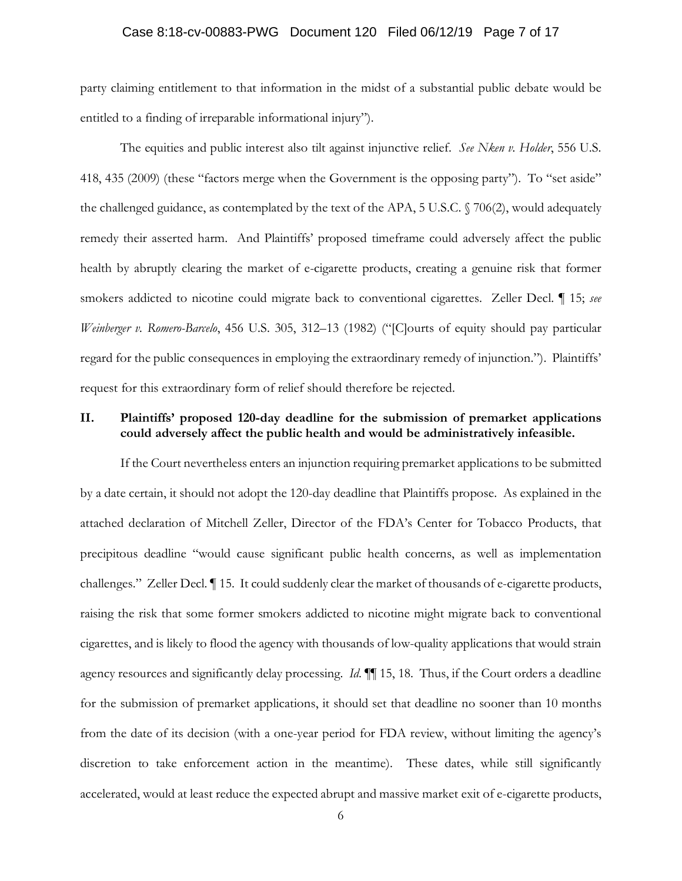### Case 8:18-cv-00883-PWG Document 120 Filed 06/12/19 Page 7 of 17

party claiming entitlement to that information in the midst of a substantial public debate would be entitled to a finding of irreparable informational injury").

The equities and public interest also tilt against injunctive relief. *See Nken v. Holder*, 556 U.S. 418, 435 (2009) (these "factors merge when the Government is the opposing party"). To "set aside" the challenged guidance, as contemplated by the text of the APA, 5 U.S.C. § 706(2), would adequately remedy their asserted harm. And Plaintiffs' proposed timeframe could adversely affect the public health by abruptly clearing the market of e-cigarette products, creating a genuine risk that former smokers addicted to nicotine could migrate back to conventional cigarettes. Zeller Decl. ¶ 15; *see Weinberger v. Romero-Barcelo*, 456 U.S. 305, 312–13 (1982) ("[C]ourts of equity should pay particular regard for the public consequences in employing the extraordinary remedy of injunction."). Plaintiffs' request for this extraordinary form of relief should therefore be rejected.

## **II. Plaintiffs' proposed 120-day deadline for the submission of premarket applications could adversely affect the public health and would be administratively infeasible.**

If the Court nevertheless enters an injunction requiring premarket applications to be submitted by a date certain, it should not adopt the 120-day deadline that Plaintiffs propose. As explained in the attached declaration of Mitchell Zeller, Director of the FDA's Center for Tobacco Products, that precipitous deadline "would cause significant public health concerns, as well as implementation challenges." Zeller Decl. ¶ 15. It could suddenly clear the market of thousands of e-cigarette products, raising the risk that some former smokers addicted to nicotine might migrate back to conventional cigarettes, and is likely to flood the agency with thousands of low-quality applications that would strain agency resources and significantly delay processing. *Id*. ¶¶ 15, 18.Thus, if the Court orders a deadline for the submission of premarket applications, it should set that deadline no sooner than 10 months from the date of its decision (with a one-year period for FDA review, without limiting the agency's discretion to take enforcement action in the meantime). These dates, while still significantly accelerated, would at least reduce the expected abrupt and massive market exit of e-cigarette products,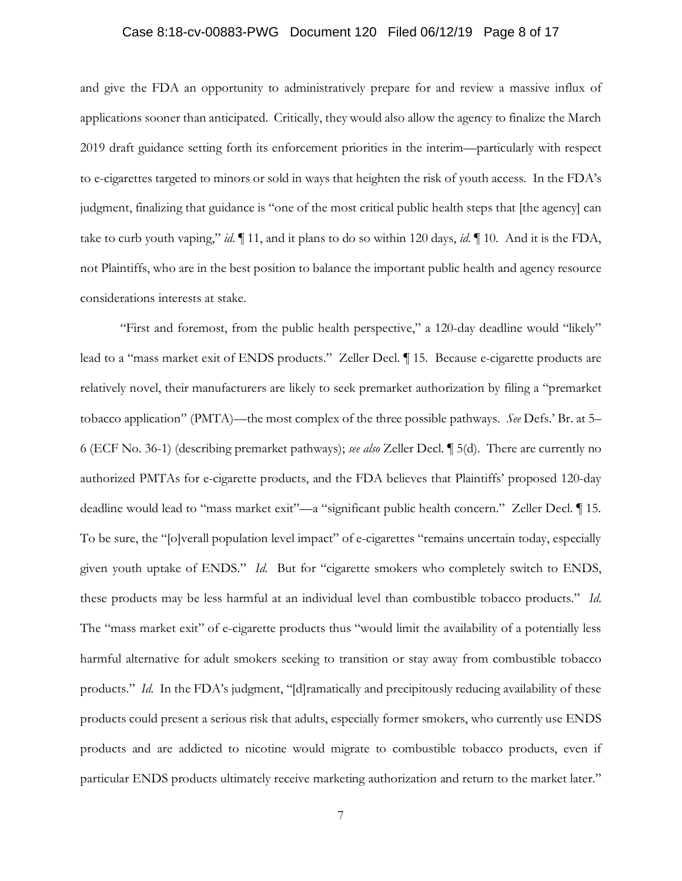#### Case 8:18-cv-00883-PWG Document 120 Filed 06/12/19 Page 8 of 17

and give the FDA an opportunity to administratively prepare for and review a massive influx of applications sooner than anticipated. Critically, they would also allow the agency to finalize the March 2019 draft guidance setting forth its enforcement priorities in the interim—particularly with respect to e-cigarettes targeted to minors or sold in ways that heighten the risk of youth access. In the FDA's judgment, finalizing that guidance is "one of the most critical public health steps that [the agency] can take to curb youth vaping," *id*. ¶ 11, and it plans to do so within 120 days, *id*. ¶ 10. And it is the FDA, not Plaintiffs, who are in the best position to balance the important public health and agency resource considerations interests at stake.

"First and foremost, from the public health perspective," a 120-day deadline would "likely" lead to a "mass market exit of ENDS products." Zeller Decl. ¶ 15. Because e-cigarette products are relatively novel, their manufacturers are likely to seek premarket authorization by filing a "premarket tobacco application" (PMTA)—the most complex of the three possible pathways. *See* Defs.' Br. at 5– 6 (ECF No. 36-1) (describing premarket pathways); *see also* Zeller Decl. ¶ 5(d). There are currently no authorized PMTAs for e-cigarette products, and the FDA believes that Plaintiffs' proposed 120-day deadline would lead to "mass market exit"—a "significant public health concern." Zeller Decl. ¶ 15. To be sure, the "[o]verall population level impact" of e-cigarettes "remains uncertain today, especially given youth uptake of ENDS." *Id*. But for "cigarette smokers who completely switch to ENDS, these products may be less harmful at an individual level than combustible tobacco products." *Id*. The "mass market exit" of e-cigarette products thus "would limit the availability of a potentially less harmful alternative for adult smokers seeking to transition or stay away from combustible tobacco products." *Id*. In the FDA's judgment, "[d]ramatically and precipitously reducing availability of these products could present a serious risk that adults, especially former smokers, who currently use ENDS products and are addicted to nicotine would migrate to combustible tobacco products, even if particular ENDS products ultimately receive marketing authorization and return to the market later."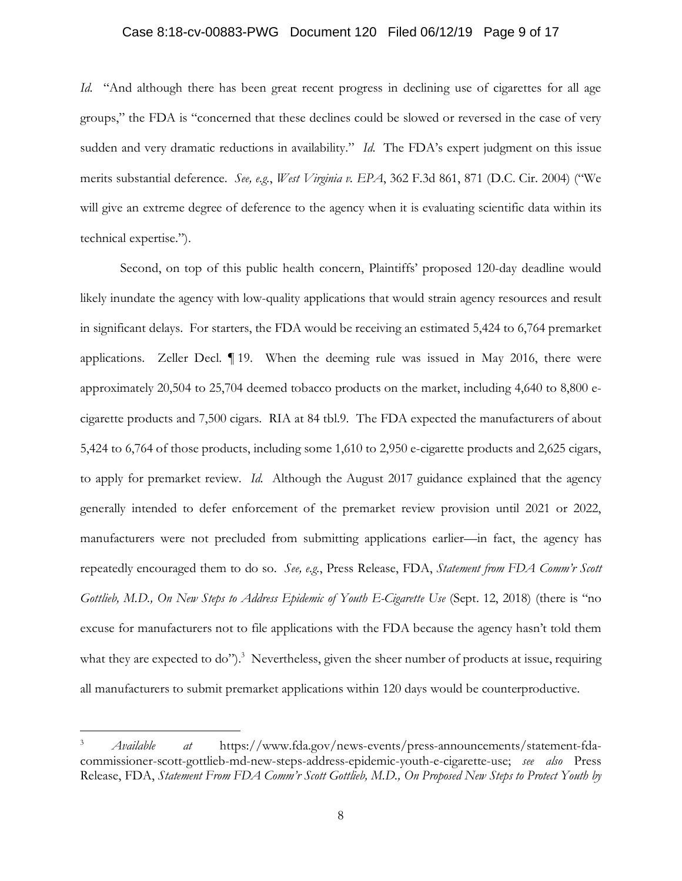### Case 8:18-cv-00883-PWG Document 120 Filed 06/12/19 Page 9 of 17

*Id.* "And although there has been great recent progress in declining use of cigarettes for all age groups," the FDA is "concerned that these declines could be slowed or reversed in the case of very sudden and very dramatic reductions in availability." *Id.* The FDA's expert judgment on this issue merits substantial deference. *See, e.g.*, *West Virginia v. EPA*, 362 F.3d 861, 871 (D.C. Cir. 2004) ("We will give an extreme degree of deference to the agency when it is evaluating scientific data within its technical expertise.").

Second, on top of this public health concern, Plaintiffs' proposed 120-day deadline would likely inundate the agency with low-quality applications that would strain agency resources and result in significant delays. For starters, the FDA would be receiving an estimated 5,424 to 6,764 premarket applications. Zeller Decl.  $\P$  19. When the deeming rule was issued in May 2016, there were approximately 20,504 to 25,704 deemed tobacco products on the market, including 4,640 to 8,800 ecigarette products and 7,500 cigars. RIA at 84 tbl.9. The FDA expected the manufacturers of about 5,424 to 6,764 of those products, including some 1,610 to 2,950 e-cigarette products and 2,625 cigars, to apply for premarket review. *Id*. Although the August 2017 guidance explained that the agency generally intended to defer enforcement of the premarket review provision until 2021 or 2022, manufacturers were not precluded from submitting applications earlier—in fact, the agency has repeatedly encouraged them to do so. *See, e.g.*, Press Release, FDA, *Statement from FDA Comm'r Scott Gottlieb, M.D., On New Steps to Address Epidemic of Youth E-Cigarette Use* (Sept. 12, 2018) (there is "no excuse for manufacturers not to file applications with the FDA because the agency hasn't told them what they are expected to do").<sup>3</sup> Nevertheless, given the sheer number of products at issue, requiring all manufacturers to submit premarket applications within 120 days would be counterproductive.

<sup>3</sup> *Available at* https://www.fda.gov/news-events/press-announcements/statement-fdacommissioner-scott-gottlieb-md-new-steps-address-epidemic-youth-e-cigarette-use; *see also* Press Release, FDA, *Statement From FDA Comm'r Scott Gottlieb, M.D., On Proposed New Steps to Protect Youth by*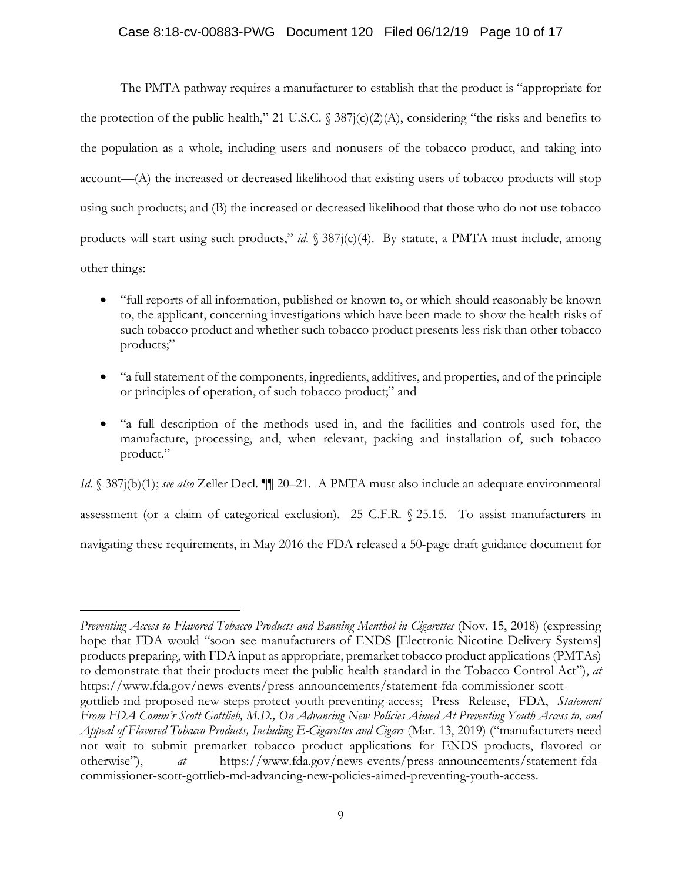## Case 8:18-cv-00883-PWG Document 120 Filed 06/12/19 Page 10 of 17

The PMTA pathway requires a manufacturer to establish that the product is "appropriate for the protection of the public health," 21 U.S.C.  $\frac{387j(c)}{2(A)}$ , considering "the risks and benefits to the population as a whole, including users and nonusers of the tobacco product, and taking into account—(A) the increased or decreased likelihood that existing users of tobacco products will stop using such products; and (B) the increased or decreased likelihood that those who do not use tobacco products will start using such products," *id*. § 387j(c)(4). By statute, a PMTA must include, among other things:

- "full reports of all information, published or known to, or which should reasonably be known to, the applicant, concerning investigations which have been made to show the health risks of such tobacco product and whether such tobacco product presents less risk than other tobacco products;"
- "a full statement of the components, ingredients, additives, and properties, and of the principle or principles of operation, of such tobacco product;" and
- "a full description of the methods used in, and the facilities and controls used for, the manufacture, processing, and, when relevant, packing and installation of, such tobacco product."

*Id.* § 387j(b)(1); *see also* Zeller Decl.  $\P$ [ 20–21. A PMTA must also include an adequate environmental assessment (or a claim of categorical exclusion). 25 C.F.R. § 25.15. To assist manufacturers in navigating these requirements, in May 2016 the FDA released a 50-page draft guidance document for

*Preventing Access to Flavored Tobacco Products and Banning Menthol in Cigarettes* (Nov. 15, 2018) (expressing hope that FDA would "soon see manufacturers of ENDS [Electronic Nicotine Delivery Systems] products preparing, with FDA input as appropriate, premarket tobacco product applications (PMTAs) to demonstrate that their products meet the public health standard in the Tobacco Control Act"), *at* https://www.fda.gov/news-events/press-announcements/statement-fda-commissioner-scott-

gottlieb-md-proposed-new-steps-protect-youth-preventing-access; Press Release, FDA, *Statement From FDA Comm'r Scott Gottlieb, M.D., On Advancing New Policies Aimed At Preventing Youth Access to, and Appeal of Flavored Tobacco Products, Including E-Cigarettes and Cigars* (Mar. 13, 2019) ("manufacturers need not wait to submit premarket tobacco product applications for ENDS products, flavored or otherwise"), *at* https://www.fda.gov/news-events/press-announcements/statement-fdacommissioner-scott-gottlieb-md-advancing-new-policies-aimed-preventing-youth-access.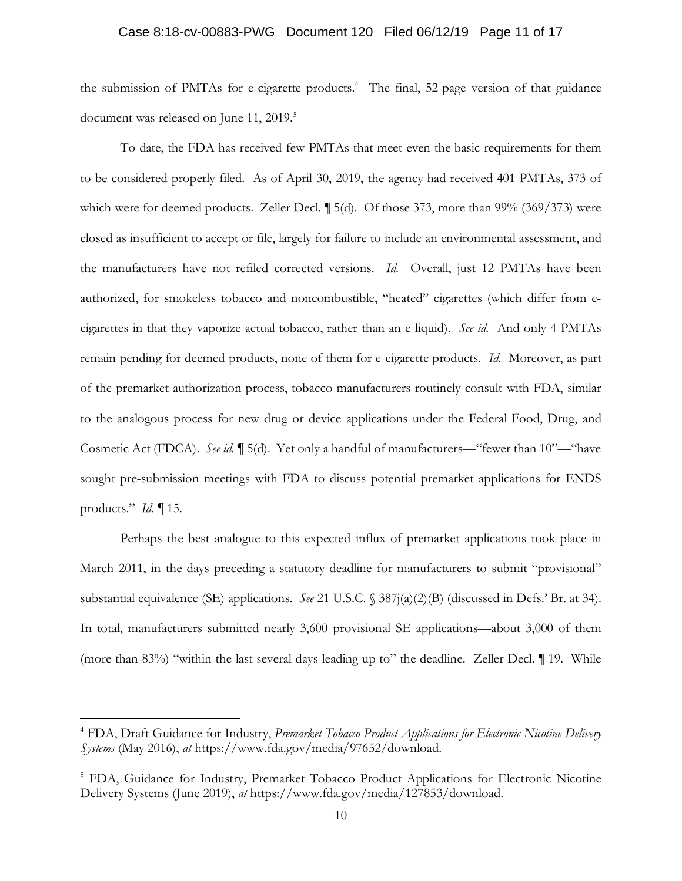#### Case 8:18-cv-00883-PWG Document 120 Filed 06/12/19 Page 11 of 17

the submission of PMTAs for e-cigarette products.<sup>4</sup> The final, 52-page version of that guidance document was released on June 11, 2019.<sup>5</sup>

To date, the FDA has received few PMTAs that meet even the basic requirements for them to be considered properly filed. As of April 30, 2019, the agency had received 401 PMTAs, 373 of which were for deemed products. Zeller Decl. ¶ 5(d). Of those 373, more than 99% (369/373) were closed as insufficient to accept or file, largely for failure to include an environmental assessment, and the manufacturers have not refiled corrected versions. *Id*. Overall, just 12 PMTAs have been authorized, for smokeless tobacco and noncombustible, "heated" cigarettes (which differ from ecigarettes in that they vaporize actual tobacco, rather than an e-liquid). *See id*. And only 4 PMTAs remain pending for deemed products, none of them for e-cigarette products. *Id*. Moreover, as part of the premarket authorization process, tobacco manufacturers routinely consult with FDA, similar to the analogous process for new drug or device applications under the Federal Food, Drug, and Cosmetic Act (FDCA). *See id.* ¶ 5(d). Yet only a handful of manufacturers—"fewer than 10"—"have sought pre-submission meetings with FDA to discuss potential premarket applications for ENDS products." *Id*. ¶ 15.

Perhaps the best analogue to this expected influx of premarket applications took place in March 2011, in the days preceding a statutory deadline for manufacturers to submit "provisional" substantial equivalence (SE) applications. *See* 21 U.S.C. § 387j(a)(2)(B) (discussed in Defs.' Br. at 34). In total, manufacturers submitted nearly 3,600 provisional SE applications—about 3,000 of them (more than 83%) "within the last several days leading up to" the deadline. Zeller Decl. ¶ 19. While

<sup>4</sup> FDA, Draft Guidance for Industry, *Premarket Tobacco Product Applications for Electronic Nicotine Delivery Systems* (May 2016), *at* https://www.fda.gov/media/97652/download.

<sup>&</sup>lt;sup>5</sup> FDA, Guidance for Industry, Premarket Tobacco Product Applications for Electronic Nicotine Delivery Systems (June 2019), *at* https://www.fda.gov/media/127853/download.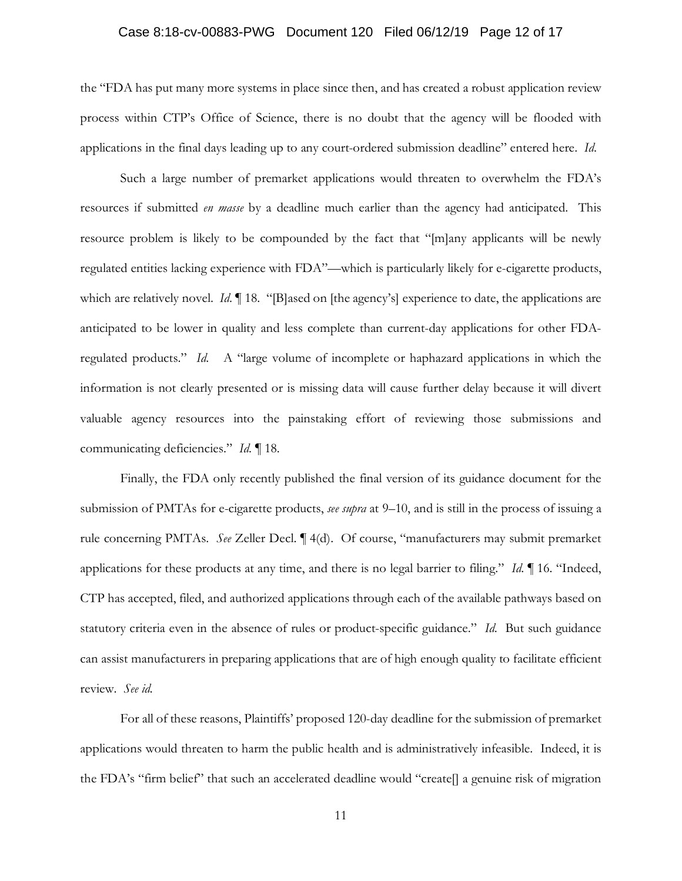### Case 8:18-cv-00883-PWG Document 120 Filed 06/12/19 Page 12 of 17

the "FDA has put many more systems in place since then, and has created a robust application review process within CTP's Office of Science, there is no doubt that the agency will be flooded with applications in the final days leading up to any court-ordered submission deadline" entered here. *Id*.

Such a large number of premarket applications would threaten to overwhelm the FDA's resources if submitted *en masse* by a deadline much earlier than the agency had anticipated. This resource problem is likely to be compounded by the fact that "[m]any applicants will be newly regulated entities lacking experience with FDA"—which is particularly likely for e-cigarette products, which are relatively novel. *Id*. **[1** 18. "[B]ased on [the agency's] experience to date, the applications are anticipated to be lower in quality and less complete than current-day applications for other FDAregulated products." *Id*. A "large volume of incomplete or haphazard applications in which the information is not clearly presented or is missing data will cause further delay because it will divert valuable agency resources into the painstaking effort of reviewing those submissions and communicating deficiencies." *Id*. ¶ 18.

Finally, the FDA only recently published the final version of its guidance document for the submission of PMTAs for e-cigarette products, *see supra* at 9–10, and is still in the process of issuing a rule concerning PMTAs. *See* Zeller Decl. ¶ 4(d). Of course, "manufacturers may submit premarket applications for these products at any time, and there is no legal barrier to filing." *Id*. ¶ 16. "Indeed, CTP has accepted, filed, and authorized applications through each of the available pathways based on statutory criteria even in the absence of rules or product-specific guidance." *Id*. But such guidance can assist manufacturers in preparing applications that are of high enough quality to facilitate efficient review. *See id.*

For all of these reasons, Plaintiffs' proposed 120-day deadline for the submission of premarket applications would threaten to harm the public health and is administratively infeasible. Indeed, it is the FDA's "firm belief" that such an accelerated deadline would "create[] a genuine risk of migration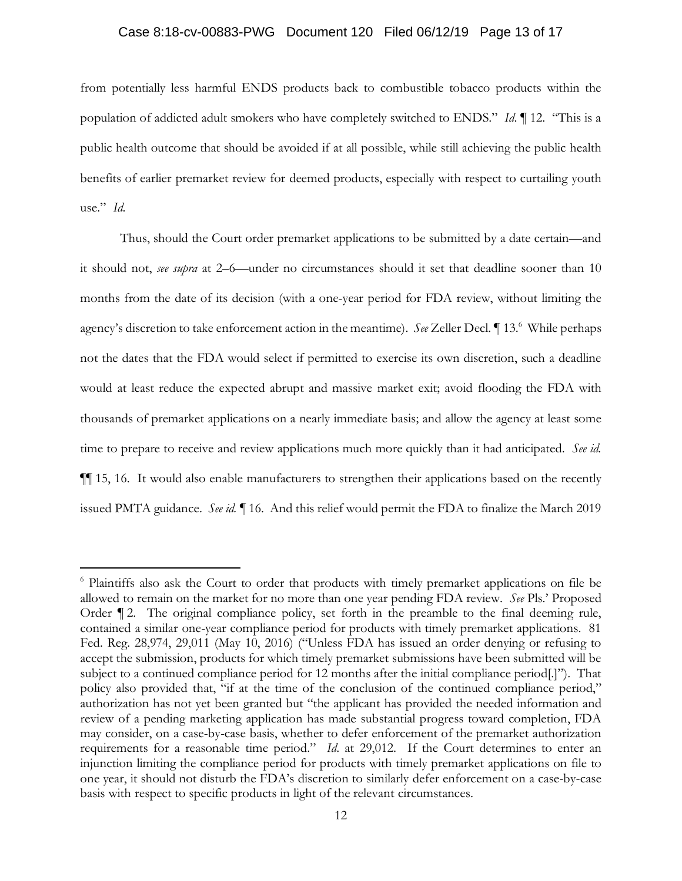### Case 8:18-cv-00883-PWG Document 120 Filed 06/12/19 Page 13 of 17

from potentially less harmful ENDS products back to combustible tobacco products within the population of addicted adult smokers who have completely switched to ENDS." *Id*. ¶ 12. "This is a public health outcome that should be avoided if at all possible, while still achieving the public health benefits of earlier premarket review for deemed products, especially with respect to curtailing youth use." *Id*.

Thus, should the Court order premarket applications to be submitted by a date certain—and it should not, *see supra* at 2–6—under no circumstances should it set that deadline sooner than 10 months from the date of its decision (with a one-year period for FDA review, without limiting the agency's discretion to take enforcement action in the meantime). See Zeller Decl. 13.<sup>6</sup> While perhaps not the dates that the FDA would select if permitted to exercise its own discretion, such a deadline would at least reduce the expected abrupt and massive market exit; avoid flooding the FDA with thousands of premarket applications on a nearly immediate basis; and allow the agency at least some time to prepare to receive and review applications much more quickly than it had anticipated. *See id.* ¶¶ 15, 16. It would also enable manufacturers to strengthen their applications based on the recently issued PMTA guidance. *See id.* ¶ 16. And this relief would permit the FDA to finalize the March 2019

<sup>6</sup> Plaintiffs also ask the Court to order that products with timely premarket applications on file be allowed to remain on the market for no more than one year pending FDA review. *See* Pls.' Proposed Order ¶ 2. The original compliance policy, set forth in the preamble to the final deeming rule, contained a similar one-year compliance period for products with timely premarket applications. 81 Fed. Reg. 28,974, 29,011 (May 10, 2016) ("Unless FDA has issued an order denying or refusing to accept the submission, products for which timely premarket submissions have been submitted will be subject to a continued compliance period for 12 months after the initial compliance period[.]"). That policy also provided that, "if at the time of the conclusion of the continued compliance period," authorization has not yet been granted but "the applicant has provided the needed information and review of a pending marketing application has made substantial progress toward completion, FDA may consider, on a case-by-case basis, whether to defer enforcement of the premarket authorization requirements for a reasonable time period." *Id*. at 29,012. If the Court determines to enter an injunction limiting the compliance period for products with timely premarket applications on file to one year, it should not disturb the FDA's discretion to similarly defer enforcement on a case-by-case basis with respect to specific products in light of the relevant circumstances.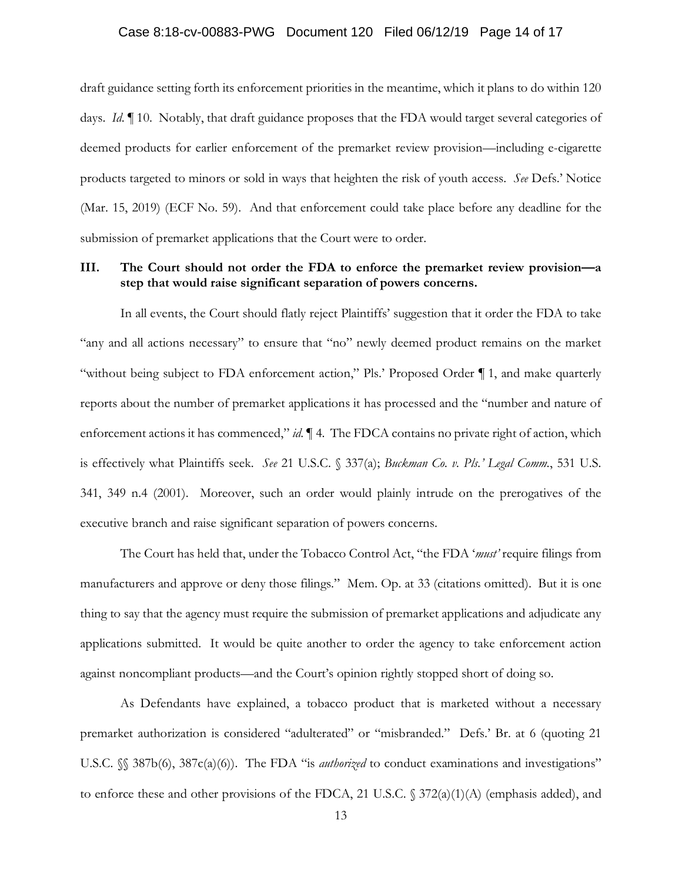#### Case 8:18-cv-00883-PWG Document 120 Filed 06/12/19 Page 14 of 17

draft guidance setting forth its enforcement priorities in the meantime, which it plans to do within 120 days. *Id*. ¶ 10. Notably, that draft guidance proposes that the FDA would target several categories of deemed products for earlier enforcement of the premarket review provision—including e-cigarette products targeted to minors or sold in ways that heighten the risk of youth access. *See* Defs.' Notice (Mar. 15, 2019) (ECF No. 59). And that enforcement could take place before any deadline for the submission of premarket applications that the Court were to order.

## **III. The Court should not order the FDA to enforce the premarket review provision—a step that would raise significant separation of powers concerns.**

In all events, the Court should flatly reject Plaintiffs' suggestion that it order the FDA to take "any and all actions necessary" to ensure that "no" newly deemed product remains on the market "without being subject to FDA enforcement action," Pls.' Proposed Order ¶ 1, and make quarterly reports about the number of premarket applications it has processed and the "number and nature of enforcement actions it has commenced," *id*.  $\blacksquare$  4. The FDCA contains no private right of action, which is effectively what Plaintiffs seek. *See* 21 U.S.C. § 337(a); *Buckman Co. v. Pls.' Legal Comm.*, 531 U.S. 341, 349 n.4 (2001). Moreover, such an order would plainly intrude on the prerogatives of the executive branch and raise significant separation of powers concerns.

The Court has held that, under the Tobacco Control Act, "the FDA '*must'* require filings from manufacturers and approve or deny those filings." Mem. Op. at 33 (citations omitted). But it is one thing to say that the agency must require the submission of premarket applications and adjudicate any applications submitted. It would be quite another to order the agency to take enforcement action against noncompliant products—and the Court's opinion rightly stopped short of doing so.

As Defendants have explained, a tobacco product that is marketed without a necessary premarket authorization is considered "adulterated" or "misbranded." Defs.' Br. at 6 (quoting 21 U.S.C. §§ 387b(6), 387c(a)(6)). The FDA "is *authorized* to conduct examinations and investigations" to enforce these and other provisions of the FDCA, 21 U.S.C. § 372(a)(1)(A) (emphasis added), and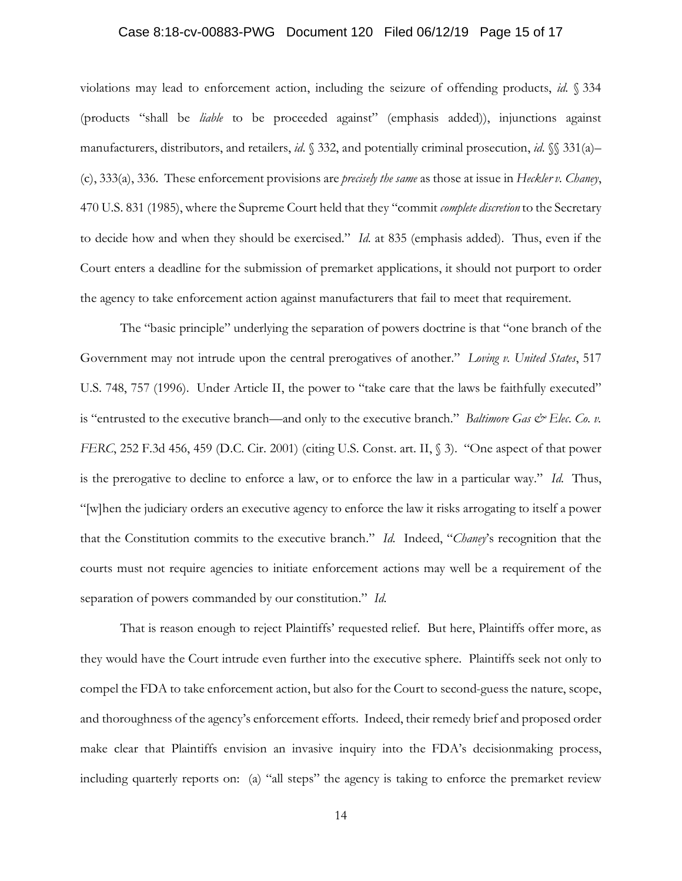#### Case 8:18-cv-00883-PWG Document 120 Filed 06/12/19 Page 15 of 17

violations may lead to enforcement action, including the seizure of offending products, *id*. § 334 (products "shall be *liable* to be proceeded against" (emphasis added)), injunctions against manufacturers, distributors, and retailers, *id*. § 332, and potentially criminal prosecution, *id*. §§ 331(a)– (c), 333(a), 336. These enforcement provisions are *precisely the same* as those at issue in *Heckler v. Chaney*, 470 U.S. 831 (1985), where the Supreme Court held that they "commit *complete discretion* to the Secretary to decide how and when they should be exercised." *Id*. at 835 (emphasis added). Thus, even if the Court enters a deadline for the submission of premarket applications, it should not purport to order the agency to take enforcement action against manufacturers that fail to meet that requirement.

The "basic principle" underlying the separation of powers doctrine is that "one branch of the Government may not intrude upon the central prerogatives of another." *Loving v. United States*, 517 U.S. 748, 757 (1996). Under Article II, the power to "take care that the laws be faithfully executed" is "entrusted to the executive branch—and only to the executive branch." *Baltimore Gas & Elec. Co. v. FERC*, 252 F.3d 456, 459 (D.C. Cir. 2001) (citing U.S. Const. art. II, § 3). "One aspect of that power is the prerogative to decline to enforce a law, or to enforce the law in a particular way." *Id*. Thus, "[w]hen the judiciary orders an executive agency to enforce the law it risks arrogating to itself a power that the Constitution commits to the executive branch." *Id*. Indeed, "*Chaney*'s recognition that the courts must not require agencies to initiate enforcement actions may well be a requirement of the separation of powers commanded by our constitution." *Id*.

That is reason enough to reject Plaintiffs' requested relief. But here, Plaintiffs offer more, as they would have the Court intrude even further into the executive sphere. Plaintiffs seek not only to compel the FDA to take enforcement action, but also for the Court to second-guess the nature, scope, and thoroughness of the agency's enforcement efforts. Indeed, their remedy brief and proposed order make clear that Plaintiffs envision an invasive inquiry into the FDA's decisionmaking process, including quarterly reports on: (a) "all steps" the agency is taking to enforce the premarket review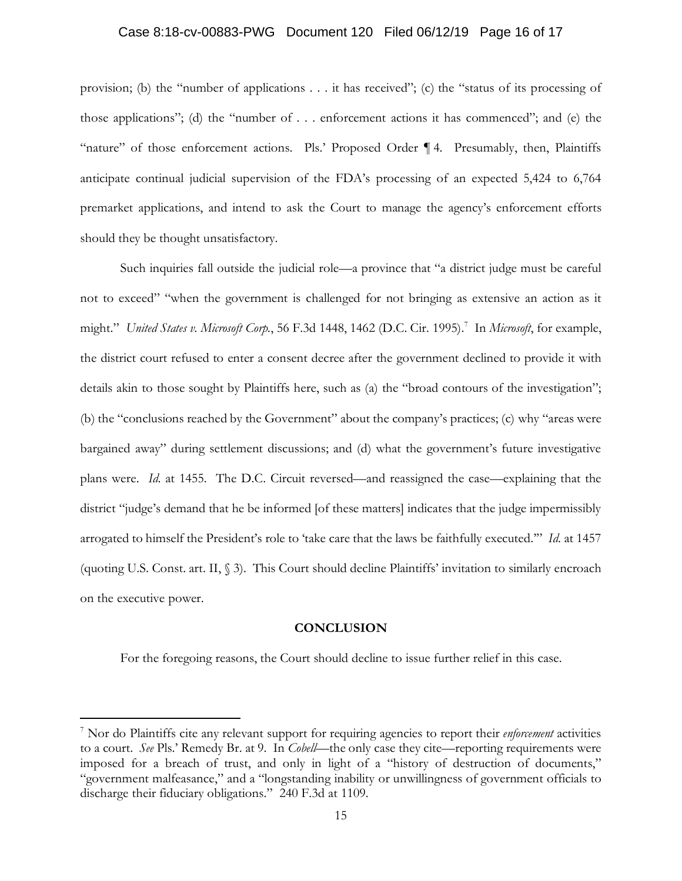### Case 8:18-cv-00883-PWG Document 120 Filed 06/12/19 Page 16 of 17

provision; (b) the "number of applications . . . it has received"; (c) the "status of its processing of those applications"; (d) the "number of . . . enforcement actions it has commenced"; and (e) the "nature" of those enforcement actions. Pls.' Proposed Order ¶ 4. Presumably, then, Plaintiffs anticipate continual judicial supervision of the FDA's processing of an expected 5,424 to 6,764 premarket applications, and intend to ask the Court to manage the agency's enforcement efforts should they be thought unsatisfactory.

Such inquiries fall outside the judicial role—a province that "a district judge must be careful not to exceed" "when the government is challenged for not bringing as extensive an action as it might." *United States v. Microsoft Corp.*, 56 F.3d 1448, 1462 (D.C. Cir. 1995).7 In *Microsoft*, for example, the district court refused to enter a consent decree after the government declined to provide it with details akin to those sought by Plaintiffs here, such as (a) the "broad contours of the investigation"; (b) the "conclusions reached by the Government" about the company's practices; (c) why "areas were bargained away" during settlement discussions; and (d) what the government's future investigative plans were. *Id*. at 1455. The D.C. Circuit reversed—and reassigned the case—explaining that the district "judge's demand that he be informed [of these matters] indicates that the judge impermissibly arrogated to himself the President's role to 'take care that the laws be faithfully executed.'" *Id*. at 1457 (quoting U.S. Const. art. II, § 3). This Court should decline Plaintiffs' invitation to similarly encroach on the executive power.

#### **CONCLUSION**

For the foregoing reasons, the Court should decline to issue further relief in this case.

<sup>7</sup> Nor do Plaintiffs cite any relevant support for requiring agencies to report their *enforcement* activities to a court. *See* Pls.' Remedy Br. at 9. In *Cobell*—the only case they cite—reporting requirements were imposed for a breach of trust, and only in light of a "history of destruction of documents," "government malfeasance," and a "longstanding inability or unwillingness of government officials to discharge their fiduciary obligations." 240 F.3d at 1109.